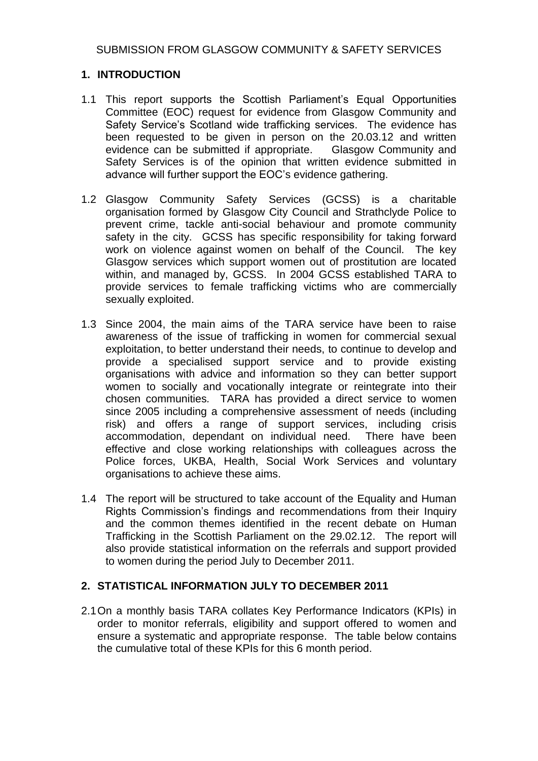### **1. INTRODUCTION**

- 1.1 This report supports the Scottish Parliament"s Equal Opportunities Committee (EOC) request for evidence from Glasgow Community and Safety Service's Scotland wide trafficking services. The evidence has been requested to be given in person on the 20.03.12 and written evidence can be submitted if appropriate. Glasgow Community and Safety Services is of the opinion that written evidence submitted in advance will further support the EOC"s evidence gathering.
- 1.2 Glasgow Community Safety Services (GCSS) is a charitable organisation formed by Glasgow City Council and Strathclyde Police to prevent crime, tackle anti-social behaviour and promote community safety in the city. GCSS has specific responsibility for taking forward work on violence against women on behalf of the Council. The key Glasgow services which support women out of prostitution are located within, and managed by, GCSS. In 2004 GCSS established TARA to provide services to female trafficking victims who are commercially sexually exploited.
- 1.3 Since 2004, the main aims of the TARA service have been to raise awareness of the issue of trafficking in women for commercial sexual exploitation, to better understand their needs, to continue to develop and provide a specialised support service and to provide existing organisations with advice and information so they can better support women to socially and vocationally integrate or reintegrate into their chosen communities*.* TARA has provided a direct service to women since 2005 including a comprehensive assessment of needs (including risk) and offers a range of support services, including crisis accommodation, dependant on individual need. There have been effective and close working relationships with colleagues across the Police forces, UKBA, Health, Social Work Services and voluntary organisations to achieve these aims.
- 1.4 The report will be structured to take account of the Equality and Human Rights Commission"s findings and recommendations from their Inquiry and the common themes identified in the recent debate on Human Trafficking in the Scottish Parliament on the 29.02.12. The report will also provide statistical information on the referrals and support provided to women during the period July to December 2011.

### **2. STATISTICAL INFORMATION JULY TO DECEMBER 2011**

2.1On a monthly basis TARA collates Key Performance Indicators (KPIs) in order to monitor referrals, eligibility and support offered to women and ensure a systematic and appropriate response. The table below contains the cumulative total of these KPIs for this 6 month period.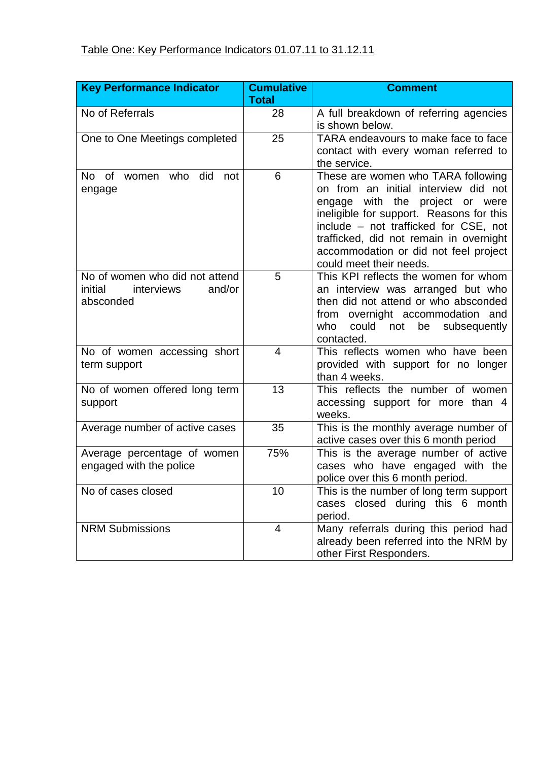| <b>Key Performance Indicator</b>                                               | <b>Cumulative</b><br><b>Total</b> | <b>Comment</b>                                                                                                                                                                                                                                                                                                             |
|--------------------------------------------------------------------------------|-----------------------------------|----------------------------------------------------------------------------------------------------------------------------------------------------------------------------------------------------------------------------------------------------------------------------------------------------------------------------|
| No of Referrals                                                                | 28                                | A full breakdown of referring agencies<br>is shown below.                                                                                                                                                                                                                                                                  |
| One to One Meetings completed                                                  | 25                                | TARA endeavours to make face to face<br>contact with every woman referred to<br>the service.                                                                                                                                                                                                                               |
| did<br>No l<br>0f<br>women who<br>not<br>engage                                | 6                                 | These are women who TARA following<br>on from an initial interview did not<br>with the<br>project<br>engage<br>or were<br>ineligible for support. Reasons for this<br>include – not trafficked for CSE, not<br>trafficked, did not remain in overnight<br>accommodation or did not feel project<br>could meet their needs. |
| No of women who did not attend<br>initial<br>and/or<br>interviews<br>absconded | 5                                 | This KPI reflects the women for whom<br>an interview was arranged but who<br>then did not attend or who absconded<br>from overnight accommodation and<br>could<br>be<br>subsequently<br>who<br>not<br>contacted.                                                                                                           |
| No of women accessing short<br>term support                                    | $\overline{4}$                    | This reflects women who have been<br>provided with support for no longer<br>than 4 weeks.                                                                                                                                                                                                                                  |
| No of women offered long term<br>support                                       | 13                                | This reflects the number of women<br>accessing support for more than 4<br>weeks.                                                                                                                                                                                                                                           |
| Average number of active cases                                                 | 35                                | This is the monthly average number of<br>active cases over this 6 month period                                                                                                                                                                                                                                             |
| Average percentage of women<br>engaged with the police                         | 75%                               | This is the average number of active<br>cases who have engaged with the<br>police over this 6 month period.                                                                                                                                                                                                                |
| No of cases closed                                                             | 10                                | This is the number of long term support<br>closed during this 6 month<br>cases<br>period.                                                                                                                                                                                                                                  |
| <b>NRM Submissions</b>                                                         | 4                                 | Many referrals during this period had<br>already been referred into the NRM by<br>other First Responders.                                                                                                                                                                                                                  |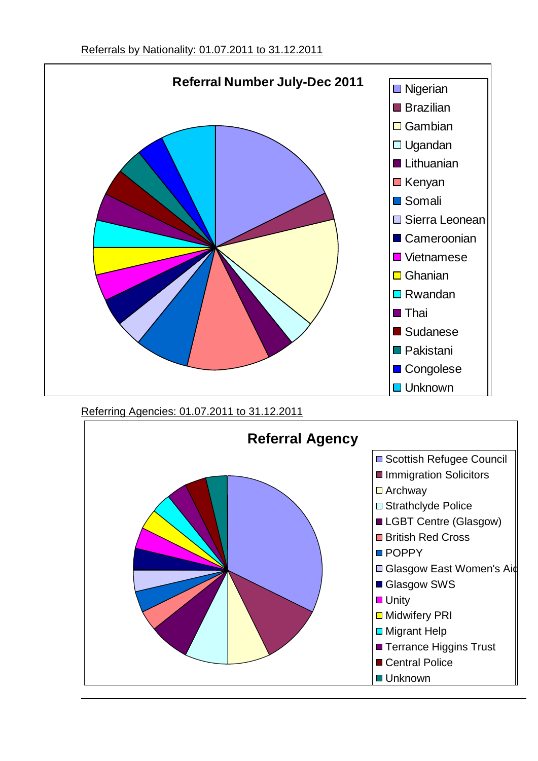

Referring Agencies: 01.07.2011 to 31.12.2011

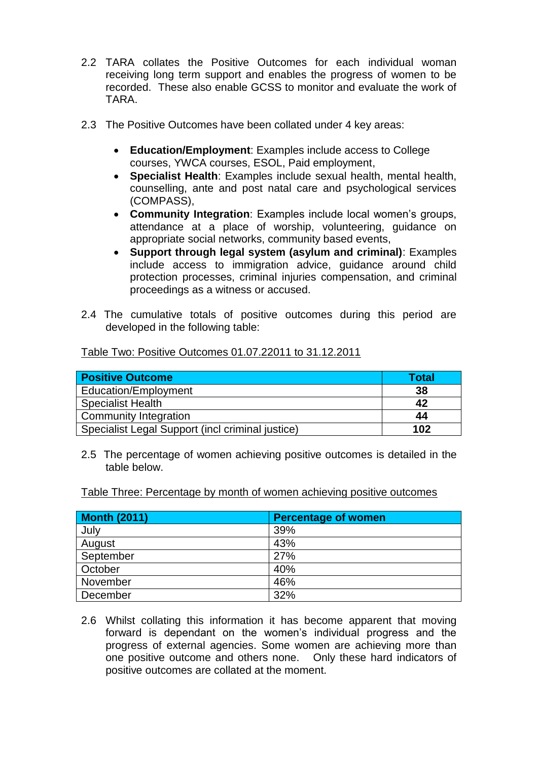- 2.2 TARA collates the Positive Outcomes for each individual woman receiving long term support and enables the progress of women to be recorded. These also enable GCSS to monitor and evaluate the work of TARA.
- 2.3 The Positive Outcomes have been collated under 4 key areas:
	- **Education/Employment**: Examples include access to College courses, YWCA courses, ESOL, Paid employment,
	- **Specialist Health**: Examples include sexual health, mental health, counselling, ante and post natal care and psychological services (COMPASS),
	- **Community Integration**: Examples include local women"s groups, attendance at a place of worship, volunteering, guidance on appropriate social networks, community based events,
	- **Support through legal system (asylum and criminal)**: Examples include access to immigration advice, guidance around child protection processes, criminal injuries compensation, and criminal proceedings as a witness or accused.
- 2.4 The cumulative totals of positive outcomes during this period are developed in the following table:

| <b>Positive Outcome</b>                          | <b>Total</b> |
|--------------------------------------------------|--------------|
| Education/Employment                             | 38           |
| <b>Specialist Health</b>                         | 42           |
| <b>Community Integration</b>                     | 44           |
| Specialist Legal Support (incl criminal justice) | 102          |

Table Two: Positive Outcomes 01.07.22011 to 31.12.2011

2.5 The percentage of women achieving positive outcomes is detailed in the table below.

Table Three: Percentage by month of women achieving positive outcomes

| <b>Month (2011)</b> | <b>Percentage of women</b> |
|---------------------|----------------------------|
| July                | 39%                        |
| August              | 43%                        |
| September           | 27%                        |
| October             | 40%                        |
| November            | 46%                        |
| December            | 32%                        |

2.6 Whilst collating this information it has become apparent that moving forward is dependant on the women"s individual progress and the progress of external agencies. Some women are achieving more than one positive outcome and others none. Only these hard indicators of positive outcomes are collated at the moment.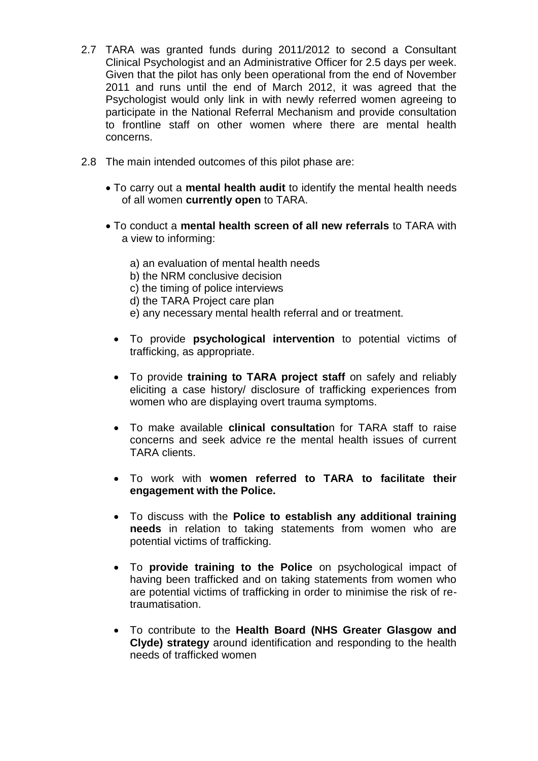- 2.7 TARA was granted funds during 2011/2012 to second a Consultant Clinical Psychologist and an Administrative Officer for 2.5 days per week. Given that the pilot has only been operational from the end of November 2011 and runs until the end of March 2012, it was agreed that the Psychologist would only link in with newly referred women agreeing to participate in the National Referral Mechanism and provide consultation to frontline staff on other women where there are mental health concerns.
- 2.8 The main intended outcomes of this pilot phase are:
	- To carry out a **mental health audit** to identify the mental health needs of all women **currently open** to TARA.
	- To conduct a **mental health screen of all new referrals** to TARA with a view to informing:
		- a) an evaluation of mental health needs
		- b) the NRM conclusive decision
		- c) the timing of police interviews
		- d) the TARA Project care plan
		- e) any necessary mental health referral and or treatment.
		- To provide **psychological intervention** to potential victims of trafficking, as appropriate.
		- To provide **training to TARA project staff** on safely and reliably eliciting a case history/ disclosure of trafficking experiences from women who are displaying overt trauma symptoms.
		- To make available **clinical consultatio**n for TARA staff to raise concerns and seek advice re the mental health issues of current TARA clients.
		- To work with **women referred to TARA to facilitate their engagement with the Police.**
		- To discuss with the **Police to establish any additional training needs** in relation to taking statements from women who are potential victims of trafficking.
		- To **provide training to the Police** on psychological impact of having been trafficked and on taking statements from women who are potential victims of trafficking in order to minimise the risk of retraumatisation.
		- To contribute to the **Health Board (NHS Greater Glasgow and Clyde) strategy** around identification and responding to the health needs of trafficked women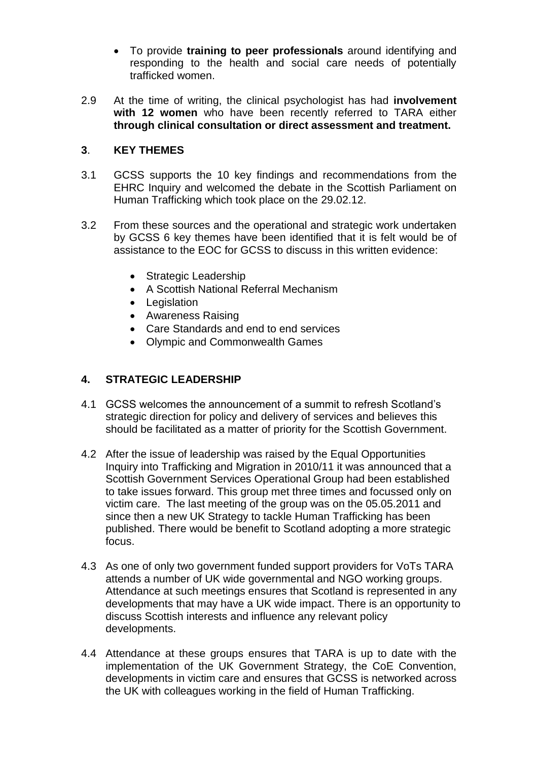- To provide **training to peer professionals** around identifying and responding to the health and social care needs of potentially trafficked women.
- 2.9 At the time of writing, the clinical psychologist has had **involvement with 12 women** who have been recently referred to TARA either **through clinical consultation or direct assessment and treatment.**

## **3**. **KEY THEMES**

- 3.1 GCSS supports the 10 key findings and recommendations from the EHRC Inquiry and welcomed the debate in the Scottish Parliament on Human Trafficking which took place on the 29.02.12.
- 3.2 From these sources and the operational and strategic work undertaken by GCSS 6 key themes have been identified that it is felt would be of assistance to the EOC for GCSS to discuss in this written evidence:
	- Strategic Leadership
	- A Scottish National Referral Mechanism
	- Legislation
	- Awareness Raising
	- Care Standards and end to end services
	- Olympic and Commonwealth Games

## **4. STRATEGIC LEADERSHIP**

- 4.1 GCSS welcomes the announcement of a summit to refresh Scotland"s strategic direction for policy and delivery of services and believes this should be facilitated as a matter of priority for the Scottish Government.
- 4.2 After the issue of leadership was raised by the Equal Opportunities Inquiry into Trafficking and Migration in 2010/11 it was announced that a Scottish Government Services Operational Group had been established to take issues forward. This group met three times and focussed only on victim care. The last meeting of the group was on the 05.05.2011 and since then a new UK Strategy to tackle Human Trafficking has been published. There would be benefit to Scotland adopting a more strategic focus.
- 4.3 As one of only two government funded support providers for VoTs TARA attends a number of UK wide governmental and NGO working groups. Attendance at such meetings ensures that Scotland is represented in any developments that may have a UK wide impact. There is an opportunity to discuss Scottish interests and influence any relevant policy developments.
- 4.4 Attendance at these groups ensures that TARA is up to date with the implementation of the UK Government Strategy, the CoE Convention, developments in victim care and ensures that GCSS is networked across the UK with colleagues working in the field of Human Trafficking.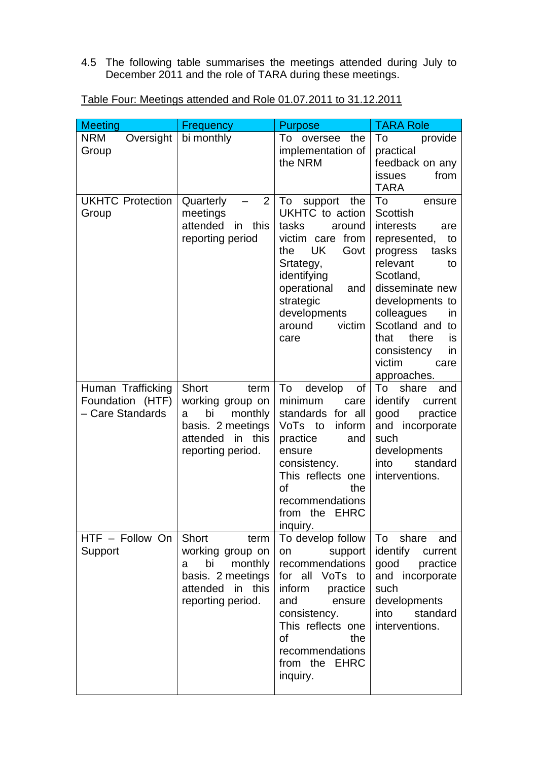4.5 The following table summarises the meetings attended during July to December 2011 and the role of TARA during these meetings.

| Table Four: Meetings attended and Role 01.07.2011 to 31.12.2011 |
|-----------------------------------------------------------------|
|-----------------------------------------------------------------|

| <b>Meeting</b>                                            | Frequency                                                                                                                | <b>Purpose</b>                                                                                                                                                                                                           | <b>TARA Role</b>                                                                                                                                                                                                                                                                         |
|-----------------------------------------------------------|--------------------------------------------------------------------------------------------------------------------------|--------------------------------------------------------------------------------------------------------------------------------------------------------------------------------------------------------------------------|------------------------------------------------------------------------------------------------------------------------------------------------------------------------------------------------------------------------------------------------------------------------------------------|
| Oversight  <br><b>NRM</b><br>Group                        | bi monthly                                                                                                               | To oversee the<br>implementation of<br>the NRM                                                                                                                                                                           | provide<br>To<br>practical<br>feedback on any<br><b>issues</b><br>from<br><b>TARA</b>                                                                                                                                                                                                    |
| <b>UKHTC Protection</b><br>Group                          | $\overline{2}$<br>Quarterly<br>$\qquad \qquad -$<br>meetings<br>attended<br>in this<br>reporting period                  | To<br>support<br>the<br>UKHTC to action<br>tasks<br>around<br>victim care<br>from<br><b>UK</b><br>the<br>Govt<br>Srtategy,<br>identifying<br>operational<br>and<br>strategic<br>developments<br>around<br>victim<br>care | To<br>ensure<br>Scottish<br>interests<br>are<br>represented,<br>to<br>tasks<br>progress<br>relevant<br>to<br>Scotland,<br>disseminate new<br>developments to<br>colleagues<br><i>in</i><br>Scotland and to<br>there<br>that<br>is<br>consistency<br>in.<br>victim<br>care<br>approaches. |
| Human Trafficking<br>Foundation (HTF)<br>- Care Standards | Short<br>term<br>working group on<br>bi<br>monthly<br>a<br>basis. 2 meetings<br>in this<br>attended<br>reporting period. | To<br>develop<br>of<br>minimum<br>care<br>standards for all<br>VoTs to<br>inform<br>practice<br>and<br>ensure<br>consistency.<br>This reflects one<br>οf<br>the<br>recommendations<br>from the EHRC<br>inquiry.          | To<br>share<br>and<br>identify<br>current<br>good<br>practice<br>and incorporate<br>such<br>developments<br>into<br>standard<br>interventions.                                                                                                                                           |
| $HTF - Follow On$<br>Support                              | Short<br>term<br>working group on<br>monthly<br>bi<br>a<br>basis. 2 meetings<br>attended in this<br>reporting period.    | To develop follow<br>support<br>on<br>recommendations<br>for all VoTs to<br>inform<br>practice<br>and<br>ensure<br>consistency.<br>This reflects one<br>0f<br>the<br>recommendations<br>from the EHRC<br>inquiry.        | To<br>share<br>and<br>identify current<br>good<br>practice<br>and incorporate<br>such<br>developments<br>into<br>standard<br>interventions.                                                                                                                                              |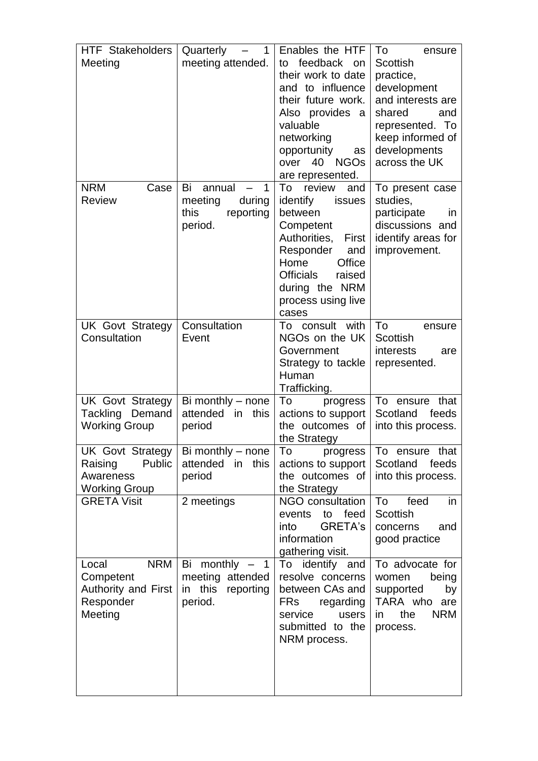| <b>HTF Stakeholders</b>      | Quarterly<br>$\overline{\phantom{0}}$<br>$\mathbf 1$ | Enables the HTF            | To<br>ensure            |
|------------------------------|------------------------------------------------------|----------------------------|-------------------------|
| meeting attended.<br>Meeting |                                                      | feedback on<br>to          | <b>Scottish</b>         |
|                              |                                                      | their work to date         | practice,               |
|                              |                                                      | and to influence           | development             |
|                              |                                                      | their future work.         | and interests are       |
|                              |                                                      | Also provides a            | shared<br>and           |
|                              |                                                      | valuable                   | represented. To         |
|                              |                                                      |                            |                         |
|                              |                                                      | networking                 | keep informed of        |
|                              |                                                      | opportunity<br>as          | developments            |
|                              |                                                      | 40<br><b>NGOs</b><br>over  | across the UK           |
|                              |                                                      | are represented.           |                         |
| <b>NRM</b><br>Case           | Bi<br>annual<br>1                                    | To<br>review<br>and        | To present case         |
| <b>Review</b>                | meeting<br>during                                    | identify<br>issues         | studies,                |
|                              | this<br>reporting                                    | between                    | participate<br>in       |
|                              | period.                                              | Competent                  | discussions and         |
|                              |                                                      | Authorities, First         | identify areas for      |
|                              |                                                      | Responder<br>and           | improvement.            |
|                              |                                                      | Home<br>Office             |                         |
|                              |                                                      | <b>Officials</b><br>raised |                         |
|                              |                                                      | during the NRM             |                         |
|                              |                                                      | process using live         |                         |
|                              |                                                      | cases                      |                         |
| <b>UK Govt Strategy</b>      | Consultation                                         | consult with<br>To         | To<br>ensure            |
| Consultation                 | Event                                                | NGOs on the UK             | Scottish                |
|                              |                                                      | Government                 | interests<br>are        |
|                              |                                                      | Strategy to tackle         | represented.            |
|                              |                                                      | Human                      |                         |
|                              |                                                      | Trafficking.               |                         |
| <b>UK Govt Strategy</b>      | Bi monthly - none                                    | To<br>progress             | To<br>that<br>ensure    |
| Tackling Demand              | attended<br>in this                                  | actions to support         | Scotland<br>feeds       |
| <b>Working Group</b>         | period                                               | the outcomes of            | into this process.      |
|                              |                                                      | the Strategy               |                         |
| <b>UK Govt Strategy</b>      | Bi monthly - none                                    | To<br>progress             | To ensure that          |
| Public<br>Raising            | attended in this                                     | actions to support         | Scotland<br>feeds       |
| Awareness                    | period                                               | the outcomes of            | into this process.      |
| <b>Working Group</b>         |                                                      | the Strategy               |                         |
| <b>GRETA Visit</b>           | 2 meetings                                           | <b>NGO consultation</b>    | To<br>feed<br>in        |
|                              |                                                      | events<br>feed<br>to       | <b>Scottish</b>         |
|                              |                                                      | into<br>GRETA's            | concerns<br>and         |
|                              |                                                      | information                | good practice           |
|                              |                                                      | gathering visit.           |                         |
| Local<br><b>NRM</b>          | Bi monthly $-1$                                      | To identify and            | To advocate for         |
| Competent                    | meeting attended                                     | resolve concerns           | being<br>women          |
| <b>Authority and First</b>   | in this<br>reporting                                 | between CAs and            | supported<br>by         |
| Responder                    | period.                                              | <b>FRs</b><br>regarding    | TARA who are            |
| Meeting                      |                                                      | service<br>users           | <b>NRM</b><br>the<br>in |
|                              |                                                      |                            |                         |
|                              |                                                      | submitted to the           | process.                |
|                              |                                                      | NRM process.               |                         |
|                              |                                                      |                            |                         |
|                              |                                                      |                            |                         |
|                              |                                                      |                            |                         |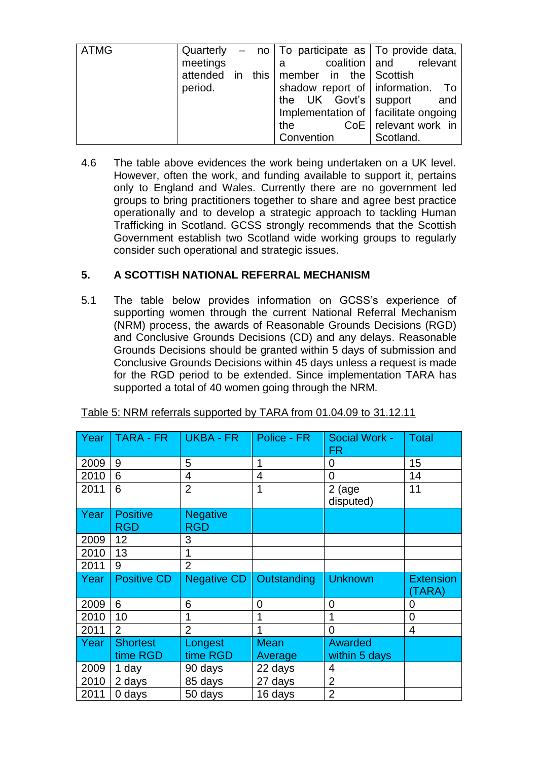| <b>ATMG</b> |          |  | Quarterly $-$ no   To participate as   To provide data, |                        |
|-------------|----------|--|---------------------------------------------------------|------------------------|
|             | meetings |  | a                                                       |                        |
|             |          |  | attended in this member in the Scottish                 |                        |
|             | period.  |  | shadow report of information. To                        |                        |
|             |          |  | the UK Govt's support                                   | and                    |
|             |          |  | Implementation of   facilitate ongoing                  |                        |
|             |          |  | the                                                     | CoE   relevant work in |
|             |          |  | Convention                                              | Scotland.              |

4.6 The table above evidences the work being undertaken on a UK level. However, often the work, and funding available to support it, pertains only to England and Wales. Currently there are no government led groups to bring practitioners together to share and agree best practice operationally and to develop a strategic approach to tackling Human Trafficking in Scotland. GCSS strongly recommends that the Scottish Government establish two Scotland wide working groups to regularly consider such operational and strategic issues.

# **5. A SCOTTISH NATIONAL REFERRAL MECHANISM**

5.1 The table below provides information on GCSS"s experience of supporting women through the current National Referral Mechanism (NRM) process, the awards of Reasonable Grounds Decisions (RGD) and Conclusive Grounds Decisions (CD) and any delays. Reasonable Grounds Decisions should be granted within 5 days of submission and Conclusive Grounds Decisions within 45 days unless a request is made for the RGD period to be extended. Since implementation TARA has supported a total of 40 women going through the NRM.

| Year | <b>TARA - FR</b>              | UKBA - FR                     | Police - FR            | <b>Social Work -</b><br><b>FR</b> | <b>Total</b>               |
|------|-------------------------------|-------------------------------|------------------------|-----------------------------------|----------------------------|
| 2009 | 9                             | 5                             | 1                      | 0                                 | 15                         |
| 2010 | 6                             | $\overline{4}$                | 4                      | $\overline{0}$                    | 14                         |
| 2011 | 6                             | $\overline{2}$                | 1                      | $2$ (age<br>disputed)             | 11                         |
| Year | <b>Positive</b><br><b>RGD</b> | <b>Negative</b><br><b>RGD</b> |                        |                                   |                            |
| 2009 | 12                            | 3                             |                        |                                   |                            |
| 2010 | 13                            | 1                             |                        |                                   |                            |
| 2011 | 9                             | $\overline{2}$                |                        |                                   |                            |
| Year | <b>Positive CD</b>            | Negative CD                   | Outstanding            | <b>Unknown</b>                    | <b>Extension</b><br>(TARA) |
| 2009 | 6                             | 6                             | 0                      | 0                                 | 0                          |
| 2010 | 10                            | 1                             | 1                      | 1                                 | $\overline{0}$             |
| 2011 | $\overline{2}$                | $\overline{2}$                | 1                      | $\Omega$                          | 4                          |
| Year | <b>Shortest</b><br>time RGD   | Longest<br>time RGD           | <b>Mean</b><br>Average | <b>Awarded</b><br>within 5 days   |                            |
| 2009 | 1 day                         | 90 days                       | 22 days                | 4                                 |                            |
| 2010 | 2 days                        | 85 days                       | 27 days                | $\overline{2}$                    |                            |
| 2011 | 0 days                        | 50 days                       | 16 days                | $\overline{2}$                    |                            |

Table 5: NRM referrals supported by TARA from 01.04.09 to 31.12.11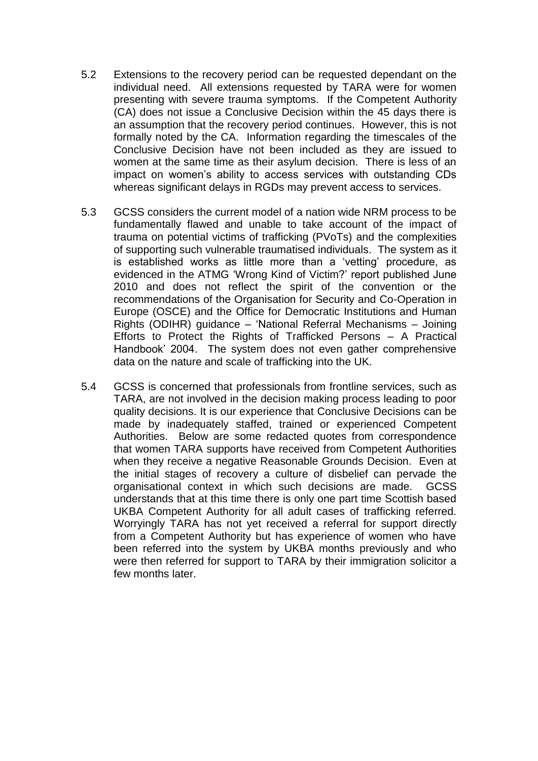- 5.2 Extensions to the recovery period can be requested dependant on the individual need. All extensions requested by TARA were for women presenting with severe trauma symptoms. If the Competent Authority (CA) does not issue a Conclusive Decision within the 45 days there is an assumption that the recovery period continues. However, this is not formally noted by the CA. Information regarding the timescales of the Conclusive Decision have not been included as they are issued to women at the same time as their asylum decision. There is less of an impact on women"s ability to access services with outstanding CDs whereas significant delays in RGDs may prevent access to services.
- 5.3 GCSS considers the current model of a nation wide NRM process to be fundamentally flawed and unable to take account of the impact of trauma on potential victims of trafficking (PVoTs) and the complexities of supporting such vulnerable traumatised individuals. The system as it is established works as little more than a "vetting" procedure, as evidenced in the ATMG "Wrong Kind of Victim?" report published June 2010 and does not reflect the spirit of the convention or the recommendations of the Organisation for Security and Co-Operation in Europe (OSCE) and the Office for Democratic Institutions and Human Rights (ODIHR) guidance – "National Referral Mechanisms – Joining Efforts to Protect the Rights of Trafficked Persons – A Practical Handbook" 2004. The system does not even gather comprehensive data on the nature and scale of trafficking into the UK.
- 5.4 GCSS is concerned that professionals from frontline services, such as TARA, are not involved in the decision making process leading to poor quality decisions. It is our experience that Conclusive Decisions can be made by inadequately staffed, trained or experienced Competent Authorities. Below are some redacted quotes from correspondence that women TARA supports have received from Competent Authorities when they receive a negative Reasonable Grounds Decision. Even at the initial stages of recovery a culture of disbelief can pervade the organisational context in which such decisions are made. GCSS understands that at this time there is only one part time Scottish based UKBA Competent Authority for all adult cases of trafficking referred. Worryingly TARA has not yet received a referral for support directly from a Competent Authority but has experience of women who have been referred into the system by UKBA months previously and who were then referred for support to TARA by their immigration solicitor a few months later.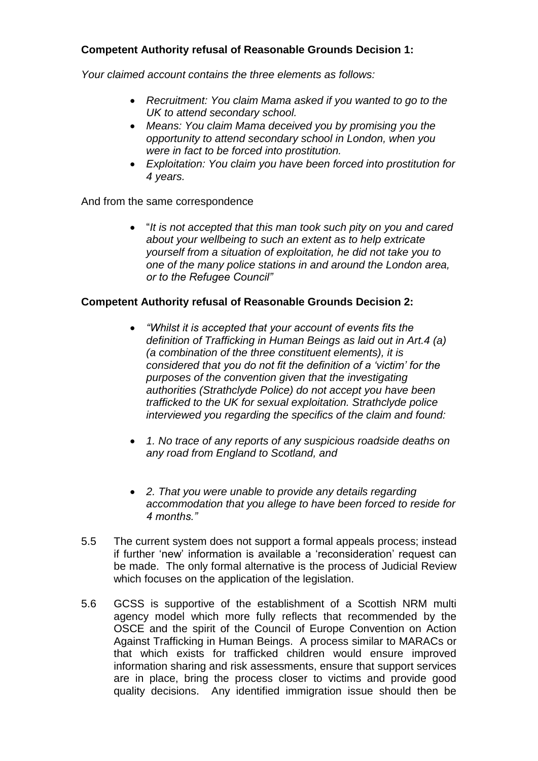# **Competent Authority refusal of Reasonable Grounds Decision 1:**

*Your claimed account contains the three elements as follows:* 

- *Recruitment: You claim Mama asked if you wanted to go to the UK to attend secondary school.*
- *Means: You claim Mama deceived you by promising you the opportunity to attend secondary school in London, when you were in fact to be forced into prostitution.*
- *Exploitation: You claim you have been forced into prostitution for 4 years.*

And from the same correspondence

 "*It is not accepted that this man took such pity on you and cared about your wellbeing to such an extent as to help extricate yourself from a situation of exploitation, he did not take you to one of the many police stations in and around the London area, or to the Refugee Council"*

### **Competent Authority refusal of Reasonable Grounds Decision 2:**

- *"Whilst it is accepted that your account of events fits the definition of Trafficking in Human Beings as laid out in Art.4 (a) (a combination of the three constituent elements), it is considered that you do not fit the definition of a "victim" for the purposes of the convention given that the investigating authorities (Strathclyde Police) do not accept you have been trafficked to the UK for sexual exploitation. Strathclyde police interviewed you regarding the specifics of the claim and found:*
- *1. No trace of any reports of any suspicious roadside deaths on any road from England to Scotland, and*
- *2. That you were unable to provide any details regarding accommodation that you allege to have been forced to reside for 4 months."*
- 5.5 The current system does not support a formal appeals process; instead if further "new" information is available a "reconsideration" request can be made. The only formal alternative is the process of Judicial Review which focuses on the application of the legislation.
- 5.6 GCSS is supportive of the establishment of a Scottish NRM multi agency model which more fully reflects that recommended by the OSCE and the spirit of the Council of Europe Convention on Action Against Trafficking in Human Beings. A process similar to MARACs or that which exists for trafficked children would ensure improved information sharing and risk assessments, ensure that support services are in place, bring the process closer to victims and provide good quality decisions. Any identified immigration issue should then be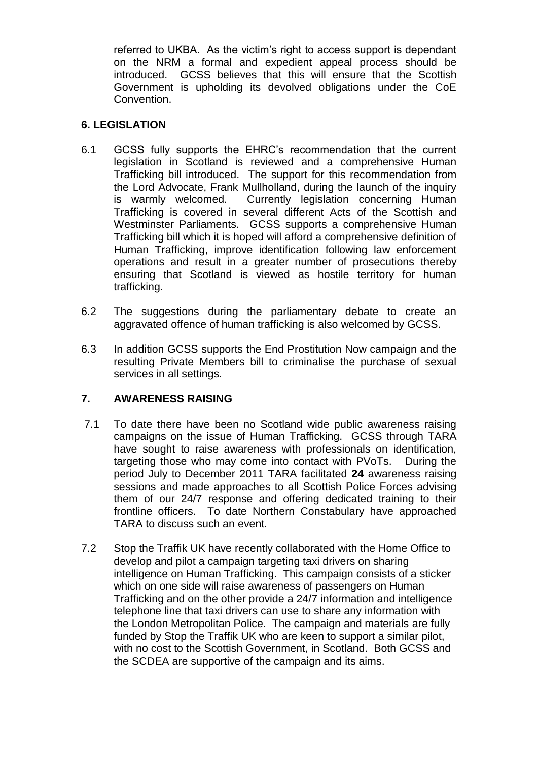referred to UKBA. As the victim"s right to access support is dependant on the NRM a formal and expedient appeal process should be introduced. GCSS believes that this will ensure that the Scottish Government is upholding its devolved obligations under the CoE Convention.

### **6. LEGISLATION**

- 6.1 GCSS fully supports the EHRC"s recommendation that the current legislation in Scotland is reviewed and a comprehensive Human Trafficking bill introduced. The support for this recommendation from the Lord Advocate, Frank Mullholland, during the launch of the inquiry is warmly welcomed. Currently legislation concerning Human Trafficking is covered in several different Acts of the Scottish and Westminster Parliaments. GCSS supports a comprehensive Human Trafficking bill which it is hoped will afford a comprehensive definition of Human Trafficking, improve identification following law enforcement operations and result in a greater number of prosecutions thereby ensuring that Scotland is viewed as hostile territory for human trafficking.
- 6.2 The suggestions during the parliamentary debate to create an aggravated offence of human trafficking is also welcomed by GCSS.
- 6.3 In addition GCSS supports the End Prostitution Now campaign and the resulting Private Members bill to criminalise the purchase of sexual services in all settings.

# **7. AWARENESS RAISING**

- 7.1 To date there have been no Scotland wide public awareness raising campaigns on the issue of Human Trafficking. GCSS through TARA have sought to raise awareness with professionals on identification, targeting those who may come into contact with PVoTs. During the period July to December 2011 TARA facilitated **24** awareness raising sessions and made approaches to all Scottish Police Forces advising them of our 24/7 response and offering dedicated training to their frontline officers. To date Northern Constabulary have approached TARA to discuss such an event.
- 7.2 Stop the Traffik UK have recently collaborated with the Home Office to develop and pilot a campaign targeting taxi drivers on sharing intelligence on Human Trafficking. This campaign consists of a sticker which on one side will raise awareness of passengers on Human Trafficking and on the other provide a 24/7 information and intelligence telephone line that taxi drivers can use to share any information with the London Metropolitan Police. The campaign and materials are fully funded by Stop the Traffik UK who are keen to support a similar pilot, with no cost to the Scottish Government, in Scotland. Both GCSS and the SCDEA are supportive of the campaign and its aims.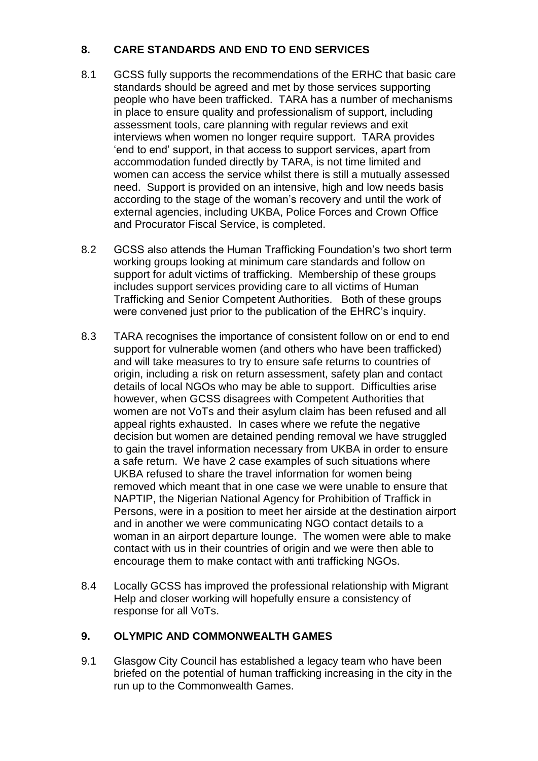# **8. CARE STANDARDS AND END TO END SERVICES**

- 8.1 GCSS fully supports the recommendations of the ERHC that basic care standards should be agreed and met by those services supporting people who have been trafficked. TARA has a number of mechanisms in place to ensure quality and professionalism of support, including assessment tools, care planning with regular reviews and exit interviews when women no longer require support. TARA provides "end to end" support, in that access to support services, apart from accommodation funded directly by TARA, is not time limited and women can access the service whilst there is still a mutually assessed need. Support is provided on an intensive, high and low needs basis according to the stage of the woman"s recovery and until the work of external agencies, including UKBA, Police Forces and Crown Office and Procurator Fiscal Service, is completed.
- 8.2 GCSS also attends the Human Trafficking Foundation"s two short term working groups looking at minimum care standards and follow on support for adult victims of trafficking. Membership of these groups includes support services providing care to all victims of Human Trafficking and Senior Competent Authorities. Both of these groups were convened just prior to the publication of the EHRC"s inquiry.
- 8.3 TARA recognises the importance of consistent follow on or end to end support for vulnerable women (and others who have been trafficked) and will take measures to try to ensure safe returns to countries of origin, including a risk on return assessment, safety plan and contact details of local NGOs who may be able to support. Difficulties arise however, when GCSS disagrees with Competent Authorities that women are not VoTs and their asylum claim has been refused and all appeal rights exhausted. In cases where we refute the negative decision but women are detained pending removal we have struggled to gain the travel information necessary from UKBA in order to ensure a safe return. We have 2 case examples of such situations where UKBA refused to share the travel information for women being removed which meant that in one case we were unable to ensure that NAPTIP, the Nigerian National Agency for Prohibition of Traffick in Persons, were in a position to meet her airside at the destination airport and in another we were communicating NGO contact details to a woman in an airport departure lounge. The women were able to make contact with us in their countries of origin and we were then able to encourage them to make contact with anti trafficking NGOs.
- 8.4 Locally GCSS has improved the professional relationship with Migrant Help and closer working will hopefully ensure a consistency of response for all VoTs.

# **9. OLYMPIC AND COMMONWEALTH GAMES**

9.1 Glasgow City Council has established a legacy team who have been briefed on the potential of human trafficking increasing in the city in the run up to the Commonwealth Games.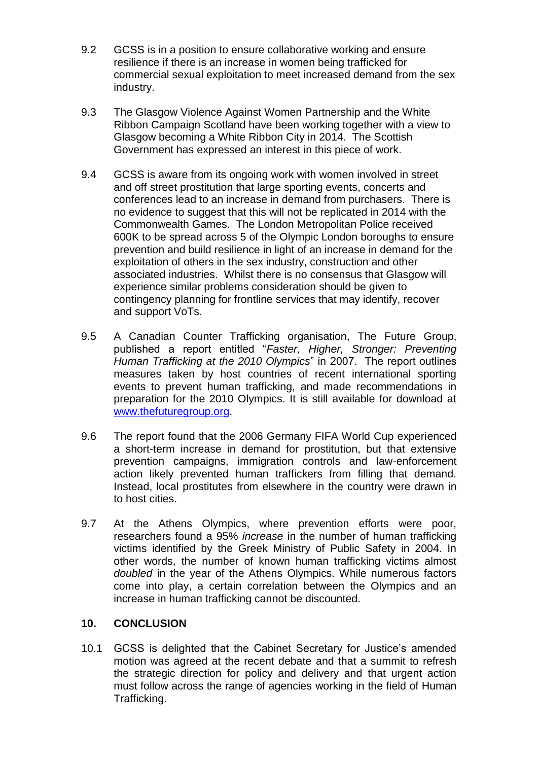- 9.2 GCSS is in a position to ensure collaborative working and ensure resilience if there is an increase in women being trafficked for commercial sexual exploitation to meet increased demand from the sex industry.
- 9.3 The Glasgow Violence Against Women Partnership and the White Ribbon Campaign Scotland have been working together with a view to Glasgow becoming a White Ribbon City in 2014. The Scottish Government has expressed an interest in this piece of work.
- 9.4 GCSS is aware from its ongoing work with women involved in street and off street prostitution that large sporting events, concerts and conferences lead to an increase in demand from purchasers. There is no evidence to suggest that this will not be replicated in 2014 with the Commonwealth Games. The London Metropolitan Police received 600K to be spread across 5 of the Olympic London boroughs to ensure prevention and build resilience in light of an increase in demand for the exploitation of others in the sex industry, construction and other associated industries. Whilst there is no consensus that Glasgow will experience similar problems consideration should be given to contingency planning for frontline services that may identify, recover and support VoTs.
- 9.5 A Canadian Counter Trafficking organisation, The Future Group, published a report entitled "*Faster, Higher, Stronger: Preventing Human Trafficking at the 2010 Olympics*" in 2007. The report outlines measures taken by host countries of recent international sporting events to prevent human trafficking, and made recommendations in preparation for the 2010 Olympics. It is still available for download at [www.thefuturegroup.org.](http://www.thefuturegroup.org/)
- 9.6 The report found that the 2006 Germany FIFA World Cup experienced a short-term increase in demand for prostitution, but that extensive prevention campaigns, immigration controls and law-enforcement action likely prevented human traffickers from filling that demand. Instead, local prostitutes from elsewhere in the country were drawn in to host cities.
- 9.7 At the Athens Olympics, where prevention efforts were poor, researchers found a 95% *increase* in the number of human trafficking victims identified by the Greek Ministry of Public Safety in 2004. In other words, the number of known human trafficking victims almost *doubled* in the year of the Athens Olympics. While numerous factors come into play, a certain correlation between the Olympics and an increase in human trafficking cannot be discounted.

### **10. CONCLUSION**

10.1 GCSS is delighted that the Cabinet Secretary for Justice"s amended motion was agreed at the recent debate and that a summit to refresh the strategic direction for policy and delivery and that urgent action must follow across the range of agencies working in the field of Human Trafficking.